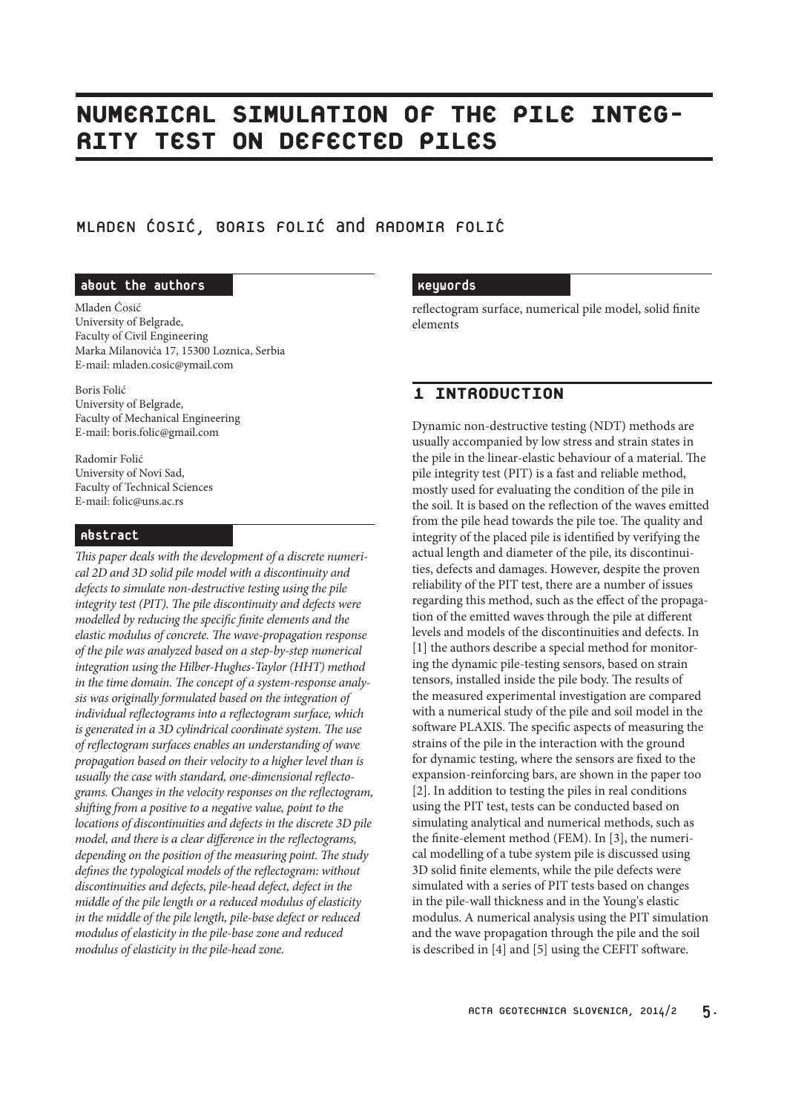# NUMERICAL SIMULATION OF THE PILE INTEG-<br>RITY TEST ON DEFECTED PILES ON DEFECTED PILES

MLADEN COSIC, BORIS FOLIC and RADOMIR FOLIC

#### about the authors

Mladen Ćosić University of Belgrade, Faculty of Civil Engineering Marka Milanovića 17, 15300 Loznica, Serbia E-mail: mladen.cosic@ymail.com

Boris Folić University of Belgrade, Faculty of Mechanical Engineering E-mail: boris.folic@gmail.com

Radomir Folić University of Novi Sad, Faculty of Technical Sciences E-mail: folic@uns.ac.rs

#### Abstract

*This paper deals with the development of a discrete numerical 2D and 3D solid pile model with a discontinuity and defects to simulate non-destructive testing using the pile integrity test (PIT). The pile discontinuity and defects were modelled by reducing the specific finite elements and the elastic modulus of concrete. The wave-propagation response of the pile was analyzed based on a step-by-step numerical integration using the Hilber-Hughes-Taylor (HHT) method in the time domain. The concept of a system-response analysis was originally formulated based on the integration of individual reflectograms into a reflectogram surface, which is generated in a 3D cylindrical coordinate system. The use of reflectogram surfaces enables an understanding of wave propagation based on their velocity to a higher level than is usually the case with standard, one-dimensional reflectograms. Changes in the velocity responses on the reflectogram, shifting from a positive to a negative value, point to the locations of discontinuities and defects in the discrete 3D pile model, and there is a clear difference in the reflectograms, depending on the position of the measuring point. The study defines the typological models of the reflectogram: without discontinuities and defects, pile-head defect, defect in the middle of the pile length or a reduced modulus of elasticity in the middle of the pile length, pile-base defect or reduced modulus of elasticity in the pile-base zone and reduced modulus of elasticity in the pile-head zone.*

#### Keywords

reflectogram surface, numerical pile model, solid finite elements

# 1 INTRODUCTION

Dynamic non-destructive testing (NDT) methods are usually accompanied by low stress and strain states in the pile in the linear-elastic behaviour of a material. The pile integrity test (PIT) is a fast and reliable method, mostly used for evaluating the condition of the pile in the soil. It is based on the reflection of the waves emitted from the pile head towards the pile toe. The quality and integrity of the placed pile is identified by verifying the actual length and diameter of the pile, its discontinuities, defects and damages. However, despite the proven reliability of the PIT test, there are a number of issues regarding this method, such as the effect of the propagation of the emitted waves through the pile at different levels and models of the discontinuities and defects. In [1] the authors describe a special method for monitoring the dynamic pile-testing sensors, based on strain tensors, installed inside the pile body. The results of the measured experimental investigation are compared with a numerical study of the pile and soil model in the software PLAXIS. The specific aspects of measuring the strains of the pile in the interaction with the ground for dynamic testing, where the sensors are fixed to the expansion-reinforcing bars, are shown in the paper too [2]. In addition to testing the piles in real conditions using the PIT test, tests can be conducted based on simulating analytical and numerical methods, such as the finite-element method (FEM). In [3], the numerical modelling of a tube system pile is discussed using 3D solid finite elements, while the pile defects were simulated with a series of PIT tests based on changes in the pile-wall thickness and in the Young's elastic modulus. A numerical analysis using the PIT simulation and the wave propagation through the pile and the soil is described in [4] and [5] using the CEFIT software.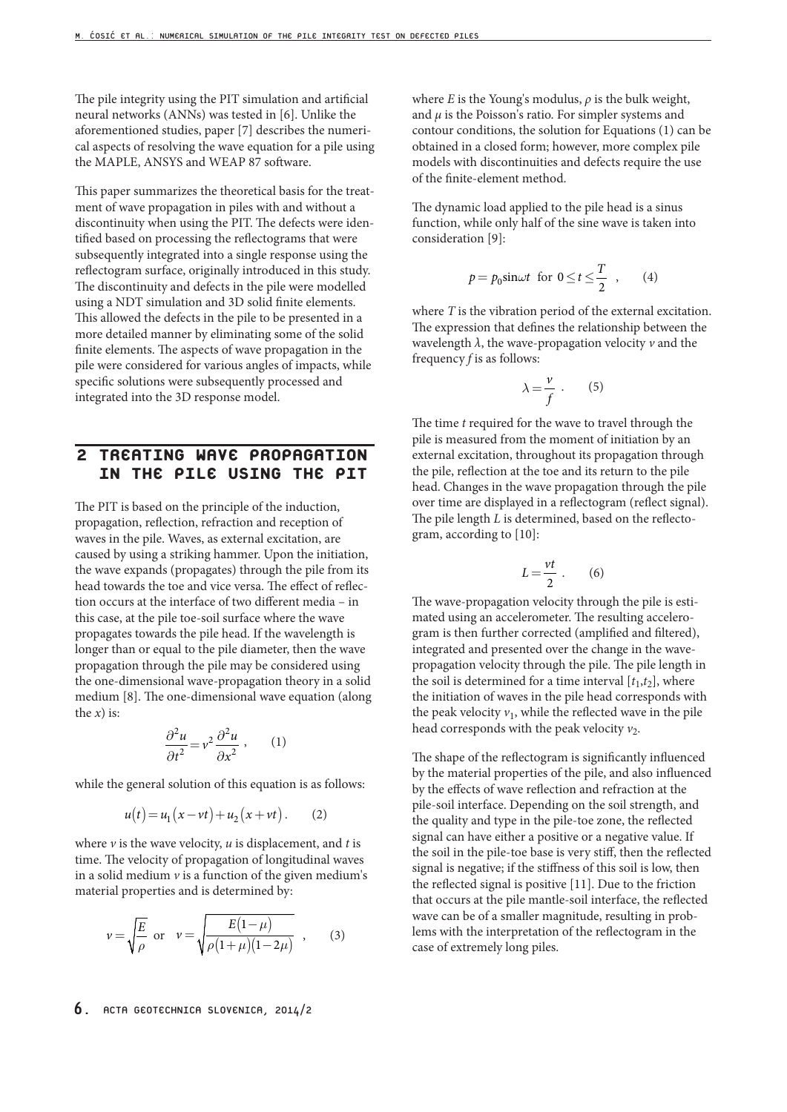The pile integrity using the PIT simulation and artificial neural networks (ANNs) was tested in [6]. Unlike the aforementioned studies, paper [7] describes the numerical aspects of resolving the wave equation for a pile using the MAPLE, ANSYS and WEAP 87 software.

This paper summarizes the theoretical basis for the treatment of wave propagation in piles with and without a discontinuity when using the PIT. The defects were identified based on processing the reflectograms that were subsequently integrated into a single response using the reflectogram surface, originally introduced in this study. The discontinuity and defects in the pile were modelled using a NDT simulation and 3D solid finite elements. This allowed the defects in the pile to be presented in a more detailed manner by eliminating some of the solid finite elements. The aspects of wave propagation in the pile were considered for various angles of impacts, while specific solutions were subsequently processed and integrated into the 3D response model.

### 2 TREATING WAVE PROPAGATION IN THE PILE USING THE PIT

The PIT is based on the principle of the induction, propagation, reflection, refraction and reception of waves in the pile. Waves, as external excitation, are caused by using a striking hammer. Upon the initiation, the wave expands (propagates) through the pile from its head towards the toe and vice versa. The effect of reflection occurs at the interface of two different media – in this case, at the pile toe-soil surface where the wave propagates towards the pile head. If the wavelength is longer than or equal to the pile diameter, then the wave propagation through the pile may be considered using the one-dimensional wave-propagation theory in a solid medium [8]. The one-dimensional wave equation (along the  $x$ ) is:

$$
\frac{\partial^2 u}{\partial t^2} = v^2 \frac{\partial^2 u}{\partial x^2} \,, \qquad (1)
$$

while the general solution of this equation is as follows:

$$
u(t) = u_1(x - vt) + u_2(x + vt).
$$
 (2)

where  $\nu$  is the wave velocity,  $u$  is displacement, and  $t$  is time. The velocity of propagation of longitudinal waves in a solid medium  $\nu$  is a function of the given medium's material properties and is determined by:

$$
v = \sqrt{\frac{E}{\rho}}
$$
 or  $v = \sqrt{\frac{E(1-\mu)}{\rho(1+\mu)(1-2\mu)}}$ , (3)

#### $6.$  ACTA GEOTECHNICA SLOVENICA, 2014/2

where *E* is the Young's modulus,  $\rho$  is the bulk weight, and  $\mu$  is the Poisson's ratio. For simpler systems and contour conditions, the solution for Equations (1) can be obtained in a closed form; however, more complex pile models with discontinuities and defects require the use of the finite-element method.

The dynamic load applied to the pile head is a sinus function, while only half of the sine wave is taken into consideration [9]:

$$
p = p_0 \sin \omega t \text{ for } 0 \le t \le \frac{T}{2} \quad , \qquad (4)
$$

where *T* is the vibration period of the external excitation. The expression that defines the relationship between the wavelength *λ*, the wave-propagation velocity *v* and the frequency *f* is as follows:

$$
\lambda = \frac{\nu}{f} \ . \qquad (5)
$$

The time *t* required for the wave to travel through the pile is measured from the moment of initiation by an external excitation, throughout its propagation through the pile, reflection at the toe and its return to the pile head. Changes in the wave propagation through the pile over time are displayed in a reflectogram (reflect signal). The pile length *L* is determined, based on the reflectogram, according to [10]:

$$
L = \frac{vt}{2} \ . \qquad (6)
$$

The wave-propagation velocity through the pile is estimated using an accelerometer. The resulting accelerogram is then further corrected (amplified and filtered), integrated and presented over the change in the wavepropagation velocity through the pile. The pile length in the soil is determined for a time interval  $[t_1,t_2]$ , where the initiation of waves in the pile head corresponds with the peak velocity  $v_1$ , while the reflected wave in the pile head corresponds with the peak velocity  $v_2$ .

The shape of the reflectogram is significantly influenced by the material properties of the pile, and also influenced by the effects of wave reflection and refraction at the pile-soil interface. Depending on the soil strength, and the quality and type in the pile-toe zone, the reflected signal can have either a positive or a negative value. If the soil in the pile-toe base is very stiff, then the reflected signal is negative; if the stiffness of this soil is low, then the reflected signal is positive [11]. Due to the friction that occurs at the pile mantle-soil interface, the reflected wave can be of a smaller magnitude, resulting in problems with the interpretation of the reflectogram in the case of extremely long piles.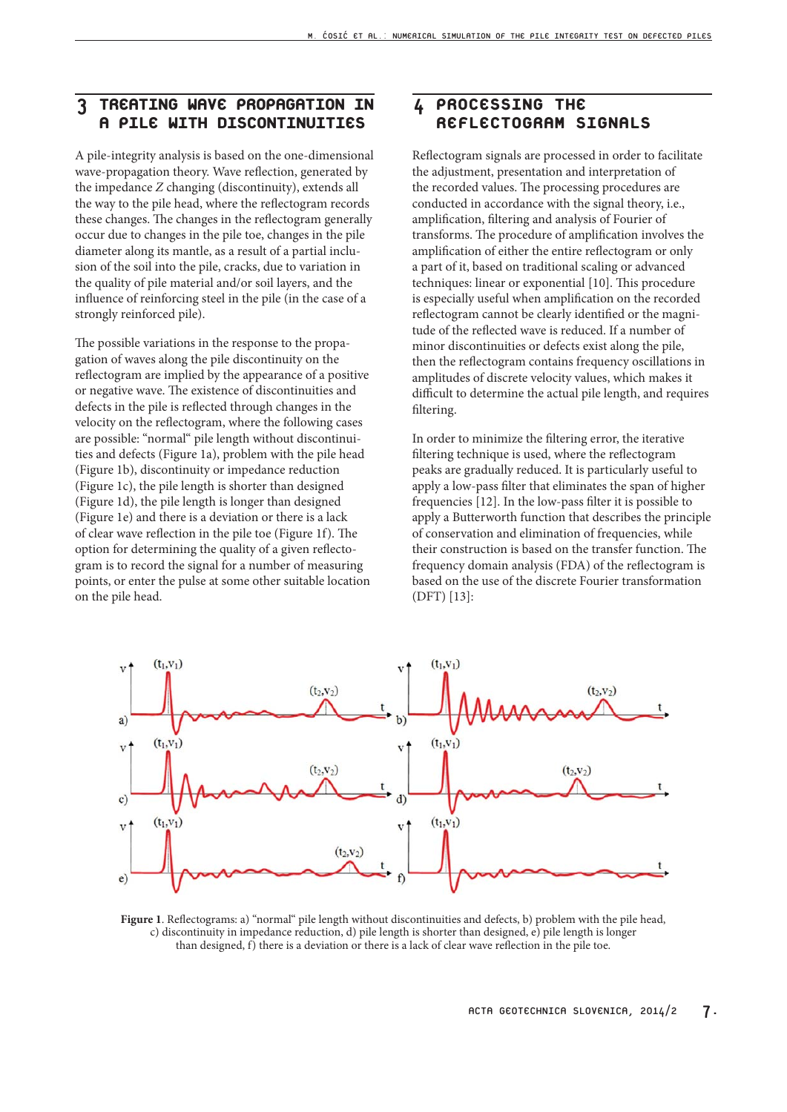### 3 TREATING WAVE PROPAGATION IN A PILE WITH DISCONTINUITIES

A pile-integrity analysis is based on the one-dimensional wave-propagation theory. Wave reflection, generated by the impedance *Z* changing (discontinuity), extends all the way to the pile head, where the reflectogram records these changes. The changes in the reflectogram generally occur due to changes in the pile toe, changes in the pile diameter along its mantle, as a result of a partial inclusion of the soil into the pile, cracks, due to variation in the quality of pile material and/or soil layers, and the influence of reinforcing steel in the pile (in the case of a strongly reinforced pile).

The possible variations in the response to the propagation of waves along the pile discontinuity on the reflectogram are implied by the appearance of a positive or negative wave. The existence of discontinuities and defects in the pile is reflected through changes in the velocity on the reflectogram, where the following cases are possible: "normal" pile length without discontinuities and defects (Figure 1a), problem with the pile head (Figure 1b), discontinuity or impedance reduction (Figure 1c), the pile length is shorter than designed (Figure 1d), the pile length is longer than designed (Figure 1e) and there is a deviation or there is a lack of clear wave reflection in the pile toe (Figure 1f). The option for determining the quality of a given reflectogram is to record the signal for a number of measuring points, or enter the pulse at some other suitable location on the pile head.

### 4 PROCESSING THE REFLECTOGRAM SIGNALS

Reflectogram signals are processed in order to facilitate the adjustment, presentation and interpretation of the recorded values. The processing procedures are conducted in accordance with the signal theory, i.e., amplification, filtering and analysis of Fourier of transforms. The procedure of amplification involves the amplification of either the entire reflectogram or only a part of it, based on traditional scaling or advanced techniques: linear or exponential [10]. This procedure is especially useful when amplification on the recorded reflectogram cannot be clearly identified or the magnitude of the reflected wave is reduced. If a number of minor discontinuities or defects exist along the pile, then the reflectogram contains frequency oscillations in amplitudes of discrete velocity values, which makes it difficult to determine the actual pile length, and requires filtering.

In order to minimize the filtering error, the iterative filtering technique is used, where the reflectogram peaks are gradually reduced. It is particularly useful to apply a low-pass filter that eliminates the span of higher frequencies [12]. In the low-pass filter it is possible to apply a Butterworth function that describes the principle of conservation and elimination of frequencies, while their construction is based on the transfer function. The frequency domain analysis (FDA) of the reflectogram is based on the use of the discrete Fourier transformation (DFT) [13]:



**Figure 1**. Reflectograms: a) "normal" pile length without discontinuities and defects, b) problem with the pile head, c) discontinuity in impedance reduction, d) pile length is shorter than designed, e) pile length is longer than designed,  $f$ ) there is a deviation or there is a lack of clear wave reflection in the pile toe.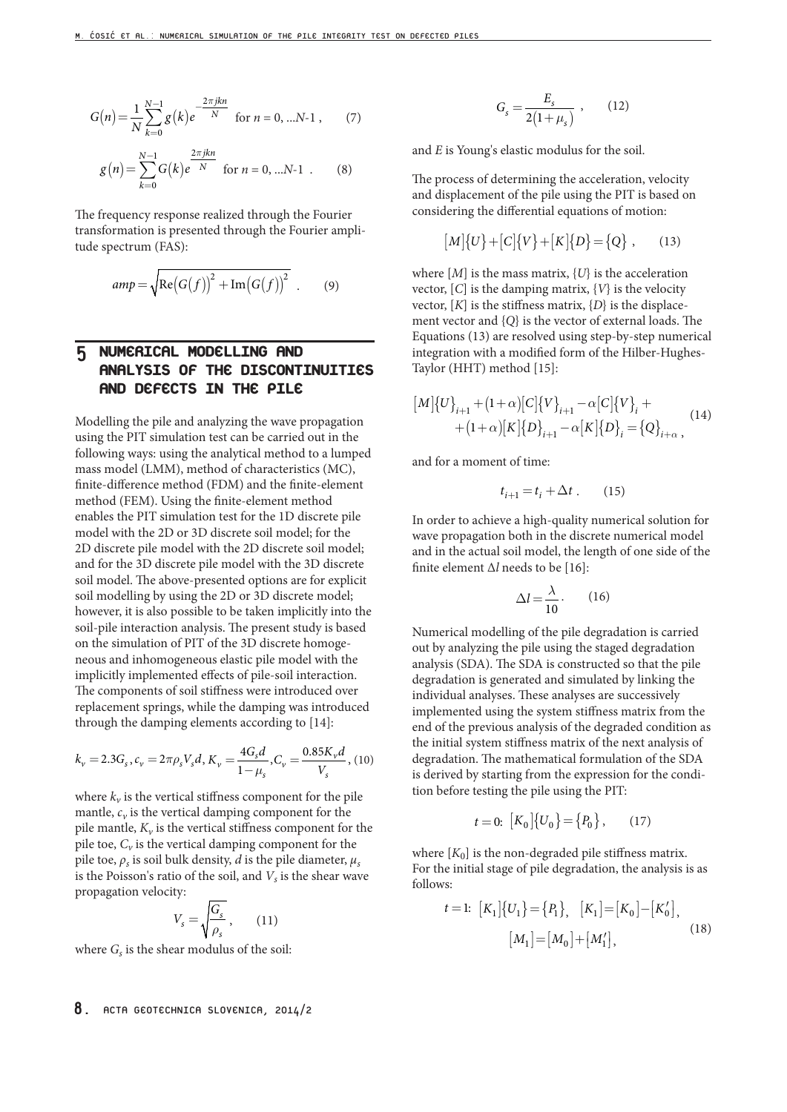$$
G(n) = \frac{1}{N} \sum_{k=0}^{N-1} g(k) e^{-\frac{2\pi jkn}{N}} \text{ for } n = 0, \dots N-1 , \quad (7)
$$

$$
g(n) = \sum_{k=0}^{N-1} G(k)e^{\frac{2\pi jkn}{N}} \text{ for } n = 0, ...N-1 .
$$
 (8)

The frequency response realized through the Fourier transformation is presented through the Fourier amplitude spectrum (FAS):

$$
amp = \sqrt{\text{Re}(G(f))^{2} + \text{Im}(G(f))^{2}} \quad . \tag{9}
$$

### 5 NUMERICAL MODELLING AND ANALYSIS OF THE DISCONTINUITIES AND DEFECTS IN THE PILE

Modelling the pile and analyzing the wave propagation using the PIT simulation test can be carried out in the following ways: using the analytical method to a lumped mass model (LMM), method of characteristics (MC), finite-difference method (FDM) and the finite-element method (FEM). Using the finite-element method enables the PIT simulation test for the 1D discrete pile model with the 2D or 3D discrete soil model; for the 2D discrete pile model with the 2D discrete soil model; and for the 3D discrete pile model with the 3D discrete soil model. The above-presented options are for explicit soil modelling by using the 2D or 3D discrete model; however, it is also possible to be taken implicitly into the soil-pile interaction analysis. The present study is based on the simulation of PIT of the 3D discrete homogeneous and inhomogeneous elastic pile model with the implicitly implemented effects of pile-soil interaction. The components of soil stiffness were introduced over replacement springs, while the damping was introduced through the damping elements according to [14]:

$$
k_{\nu} = 2.3G_{s}, c_{\nu} = 2\pi \rho_{s} V_{s} d, K_{\nu} = \frac{4G_{s}d}{1-\mu_{s}}, C_{\nu} = \frac{0.85K_{\nu}d}{V_{s}}, (10)
$$

where  $k_v$  is the vertical stiffness component for the pile mantle,  $c_v$  is the vertical damping component for the pile mantle,  $K_v$  is the vertical stiffness component for the pile toe,  $C_v$  is the vertical damping component for the pile toe,  $\rho_s$  is soil bulk density, *d* is the pile diameter,  $\mu_s$ is the Poisson's ratio of the soil, and  $V<sub>s</sub>$  is the shear wave propagation velocity:

$$
V_s = \sqrt{\frac{G_s}{\rho_s}}\,,\qquad(11)
$$

where  $G_s$  is the shear modulus of the soil:

#### $\mu_s = \frac{L_s}{2(1+\mu_s)}$  $G_s = \frac{E_s}{2(1 + \mu)}$  $(12)$

and *E* is Young's elastic modulus for the soil.

The process of determining the acceleration, velocity and displacement of the pile using the PIT is based on considering the differential equations of motion:

$$
[M]\{U\} + [C]\{V\} + [K]\{D\} = \{Q\}, \quad (13)
$$

where  $[M]$  is the mass matrix,  $\{U\}$  is the acceleration vector, [*C*] is the damping matrix, {*V*} is the velocity vector,  $[K]$  is the stiffness matrix,  $\{D\}$  is the displacement vector and {*Q*} is the vector of external loads. The Equations (13) are resolved using step-by-step numerical integration with a modified form of the Hilber-Hughes-Taylor (HHT) method [15]:

$$
[M]\{U\}_{i+1} + (1+\alpha)[C]\{V\}_{i+1} - \alpha[C]\{V\}_i + (1+\alpha)[K]\{D\}_{i+1} - \alpha[K]\{D\}_i = \{Q\}_{i+\alpha},
$$
\n(14)

and for a moment of time:

$$
t_{i+1} = t_i + \Delta t \ . \qquad (15)
$$

In order to achieve a high-quality numerical solution for wave propagation both in the discrete numerical model and in the actual soil model, the length of one side of the finite element Δ*l* needs to be [16]:

$$
\Delta l = \frac{\lambda}{10}.
$$
 (16)

Numerical modelling of the pile degradation is carried out by analyzing the pile using the staged degradation analysis (SDA). The SDA is constructed so that the pile degradation is generated and simulated by linking the individual analyses. These analyses are successively implemented using the system stiffness matrix from the end of the previous analysis of the degraded condition as the initial system stiffness matrix of the next analysis of degradation. The mathematical formulation of the SDA is derived by starting from the expression for the condition before testing the pile using the PIT:

$$
t = 0: [K_0] \{U_0\} = \{P_0\}, \qquad (17)
$$

where  $[K_0]$  is the non-degraded pile stiffness matrix. For the initial stage of pile degradation, the analysis is as follows:

$$
t = 1: [K_1]\{U_1\} = \{P_1\}, [K_1] = [K_0] - [K'_0],
$$

$$
[M_1] = [M_0] + [M'_1],
$$
(18)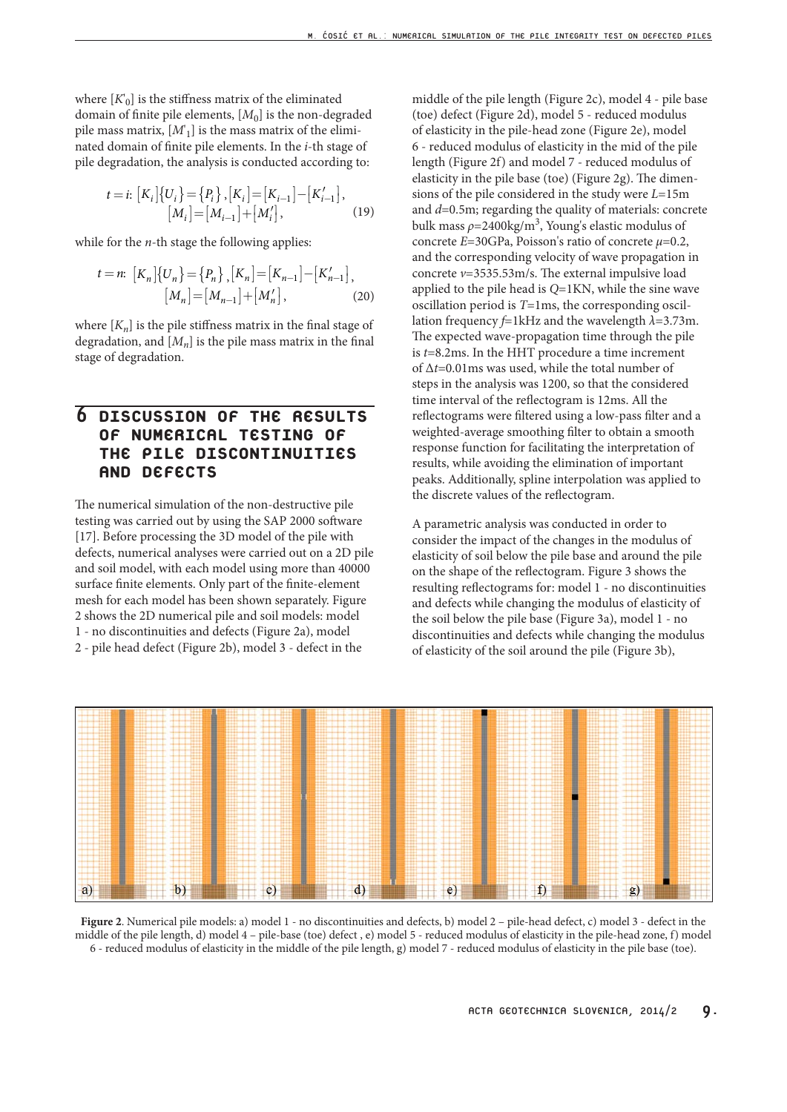where  $[K_0]$  is the stiffness matrix of the eliminated domain of finite pile elements, [M<sub>0</sub>] is the non-degraded pile mass matrix, [*M*' 1] is the mass matrix of the eliminated domain of finite pile elements. In the *i*-th stage of pile degradation, the analysis is conducted according to:

$$
t = i: [K_i] \{U_i\} = \{P_i\}, [K_i] = [K_{i-1}] - [K'_{i-1}],
$$
  
\n
$$
[M_i] = [M_{i-1}] + [M'_i],
$$
 (19)

while for the *n*-th stage the following applies:

$$
t = n: \ [K_n] \{ U_n \} = \{ P_n \} , [K_n] = [K_{n-1}] - [K'_{n-1}],
$$

$$
[M_n] = [M_{n-1}] + [M'_n], \tag{20}
$$

where  $[K_n]$  is the pile stiffness matrix in the final stage of degradation, and  $[M_n]$  is the pile mass matrix in the final stage of degradation.

# 6 DISCUSSION OF THE RESULTS OF NUMERICAL TESTING OF THE PILE DISCONTINUITIES AND DEFECTS

The numerical simulation of the non-destructive pile testing was carried out by using the SAP 2000 software [17]. Before processing the 3D model of the pile with defects, numerical analyses were carried out on a 2D pile and soil model, with each model using more than 40000 surface finite elements. Only part of the finite-element mesh for each model has been shown separately. Figure 2 shows the 2D numerical pile and soil models: model 1 - no discontinuities and defects (Figure 2a), model 2 - pile head defect (Figure 2b), model 3 - defect in the

middle of the pile length (Figure 2c), model 4 - pile base (toe) defect (Figure 2d), model 5 - reduced modulus of elasticity in the pile-head zone (Figure 2e), model 6 - reduced modulus of elasticity in the mid of the pile length (Figure 2f) and model 7 - reduced modulus of elasticity in the pile base (toe) (Figure 2g). The dimensions of the pile considered in the study were *L*=15m and *d*=0.5m; regarding the quality of materials: concrete bulk mass  $\rho = 2400 \text{kg/m}^3$ , Young's elastic modulus of concrete *E*=30GPa, Poisson's ratio of concrete *μ*=0.2, and the corresponding velocity of wave propagation in concrete *v*=3535.53m/s. The external impulsive load applied to the pile head is *Q*=1KN, while the sine wave oscillation period is *T*=1ms, the corresponding oscillation frequency *f*=1kHz and the wavelength *λ*=3.73m. The expected wave-propagation time through the pile is *t*=8.2ms. In the HHT procedure a time increment of Δ*t*=0.01ms was used, while the total number of steps in the analysis was 1200, so that the considered time interval of the reflectogram is 12ms. All the reflectograms were filtered using a low-pass filter and a weighted-average smoothing filter to obtain a smooth response function for facilitating the interpretation of results, while avoiding the elimination of important peaks. Additionally, spline interpolation was applied to the discrete values of the reflectogram.

A parametric analysis was conducted in order to consider the impact of the changes in the modulus of elasticity of soil below the pile base and around the pile on the shape of the reflectogram. Figure 3 shows the resulting reflectograms for: model 1 - no discontinuities and defects while changing the modulus of elasticity of the soil below the pile base (Figure 3a), model 1 - no discontinuities and defects while changing the modulus of elasticity of the soil around the pile (Figure 3b),



**Figure 2**. Numerical pile models: a) model 1 - no discontinuities and defects, b) model 2 – pile-head defect, c) model 3 - defect in the middle of the pile length, d) model 4 – pile-base (toe) defect , e) model 5 - reduced modulus of elasticity in the pile-head zone, f) model 6 - reduced modulus of elasticity in the middle of the pile length, g) model 7 - reduced modulus of elasticity in the pile base (toe).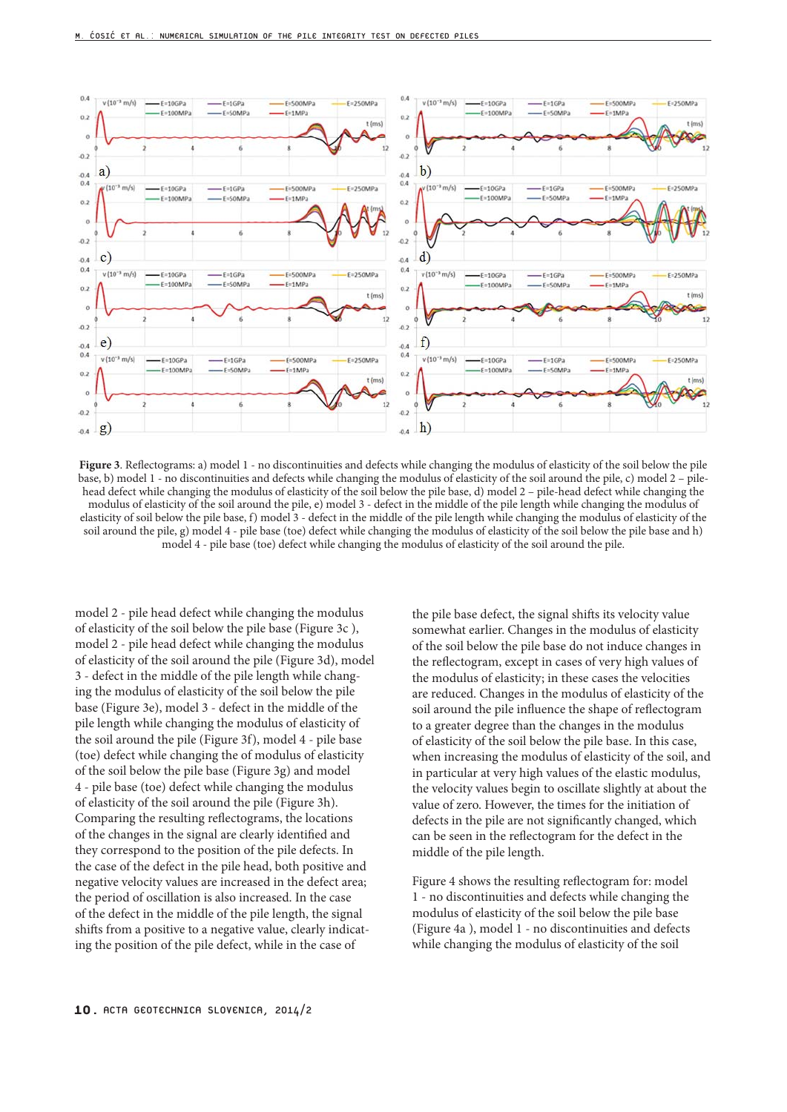

**Figure 3**. Reflectograms: a) model 1 - no discontinuities and defects while changing the modulus of elasticity of the soil below the pile base, b) model 1 - no discontinuities and defects while changing the modulus of elasticity of the soil around the pile, c) model 2 – pilehead defect while changing the modulus of elasticity of the soil below the pile base, d) model 2 – pile-head defect while changing the modulus of elasticity of the soil around the pile, e) model 3 - defect in the middle of the pile length while changing the modulus of elasticity of soil below the pile base, f) model 3 - defect in the middle of the pile length while changing the modulus of elasticity of the soil around the pile, g) model 4 - pile base (toe) defect while changing the modulus of elasticity of the soil below the pile base and h) model 4 - pile base (toe) defect while changing the modulus of elasticity of the soil around the pile.

model 2 - pile head defect while changing the modulus of elasticity of the soil below the pile base (Figure 3c ), model 2 - pile head defect while changing the modulus of elasticity of the soil around the pile (Figure 3d), model 3 - defect in the middle of the pile length while changing the modulus of elasticity of the soil below the pile base (Figure 3e), model 3 - defect in the middle of the pile length while changing the modulus of elasticity of the soil around the pile (Figure 3f), model 4 - pile base (toe) defect while changing the of modulus of elasticity of the soil below the pile base (Figure 3g) and model 4 - pile base (toe) defect while changing the modulus of elasticity of the soil around the pile (Figure 3h). Comparing the resulting reflectograms, the locations of the changes in the signal are clearly identified and they correspond to the position of the pile defects. In the case of the defect in the pile head, both positive and negative velocity values are increased in the defect area; the period of oscillation is also increased. In the case of the defect in the middle of the pile length, the signal shifts from a positive to a negative value, clearly indicating the position of the pile defect, while in the case of

the pile base defect, the signal shifts its velocity value somewhat earlier. Changes in the modulus of elasticity of the soil below the pile base do not induce changes in the reflectogram, except in cases of very high values of the modulus of elasticity; in these cases the velocities are reduced. Changes in the modulus of elasticity of the soil around the pile influence the shape of reflectogram to a greater degree than the changes in the modulus of elasticity of the soil below the pile base. In this case, when increasing the modulus of elasticity of the soil, and in particular at very high values of the elastic modulus, the velocity values begin to oscillate slightly at about the value of zero. However, the times for the initiation of defects in the pile are not significantly changed, which can be seen in the reflectogram for the defect in the middle of the pile length.

Figure 4 shows the resulting reflectogram for: model 1 - no discontinuities and defects while changing the modulus of elasticity of the soil below the pile base (Figure 4a ), model 1 - no discontinuities and defects while changing the modulus of elasticity of the soil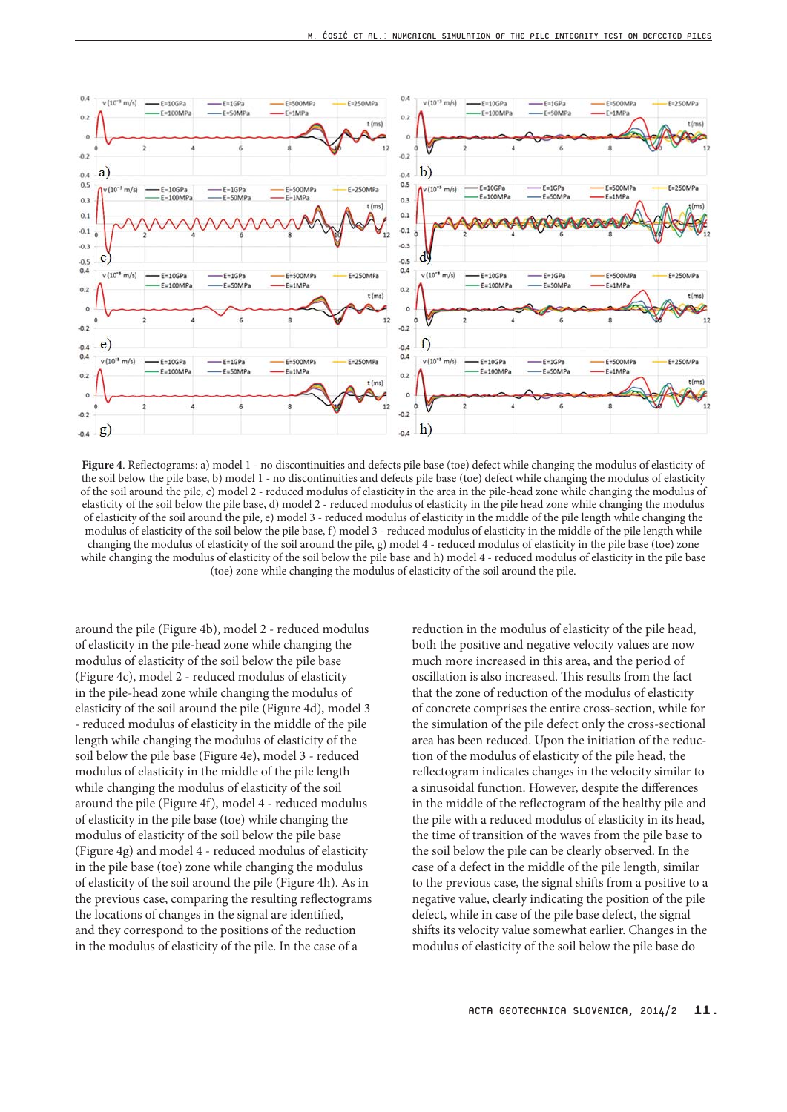

**Figure 4**. Reflectograms: a) model 1 - no discontinuities and defects pile base (toe) defect while changing the modulus of elasticity of the soil below the pile base, b) model 1 - no discontinuities and defects pile base (toe) defect while changing the modulus of elasticity of the soil around the pile, c) model 2 - reduced modulus of elasticity in the area in the pile-head zone while changing the modulus of elasticity of the soil below the pile base, d) model 2 - reduced modulus of elasticity in the pile head zone while changing the modulus of elasticity of the soil around the pile, e) model 3 - reduced modulus of elasticity in the middle of the pile length while changing the modulus of elasticity of the soil below the pile base, f) model 3 - reduced modulus of elasticity in the middle of the pile length while changing the modulus of elasticity of the soil around the pile, g) model 4 - reduced modulus of elasticity in the pile base (toe) zone while changing the modulus of elasticity of the soil below the pile base and h) model 4 - reduced modulus of elasticity in the pile base (toe) zone while changing the modulus of elasticity of the soil around the pile.

around the pile (Figure 4b), model 2 - reduced modulus of elasticity in the pile-head zone while changing the modulus of elasticity of the soil below the pile base (Figure 4c), model 2 - reduced modulus of elasticity in the pile-head zone while changing the modulus of elasticity of the soil around the pile (Figure 4d), model 3 - reduced modulus of elasticity in the middle of the pile length while changing the modulus of elasticity of the soil below the pile base (Figure 4e), model 3 - reduced modulus of elasticity in the middle of the pile length while changing the modulus of elasticity of the soil around the pile (Figure 4f), model 4 - reduced modulus of elasticity in the pile base (toe) while changing the modulus of elasticity of the soil below the pile base (Figure 4g) and model 4 - reduced modulus of elasticity in the pile base (toe) zone while changing the modulus of elasticity of the soil around the pile (Figure 4h). As in the previous case, comparing the resulting reflectograms the locations of changes in the signal are identified, and they correspond to the positions of the reduction in the modulus of elasticity of the pile. In the case of a

reduction in the modulus of elasticity of the pile head, both the positive and negative velocity values are now much more increased in this area, and the period of oscillation is also increased. This results from the fact that the zone of reduction of the modulus of elasticity of concrete comprises the entire cross-section, while for the simulation of the pile defect only the cross-sectional area has been reduced. Upon the initiation of the reduction of the modulus of elasticity of the pile head, the reflectogram indicates changes in the velocity similar to a sinusoidal function. However, despite the differences in the middle of the reflectogram of the healthy pile and the pile with a reduced modulus of elasticity in its head, the time of transition of the waves from the pile base to the soil below the pile can be clearly observed. In the case of a defect in the middle of the pile length, similar to the previous case, the signal shifts from a positive to a negative value, clearly indicating the position of the pile defect, while in case of the pile base defect, the signal shifts its velocity value somewhat earlier. Changes in the modulus of elasticity of the soil below the pile base do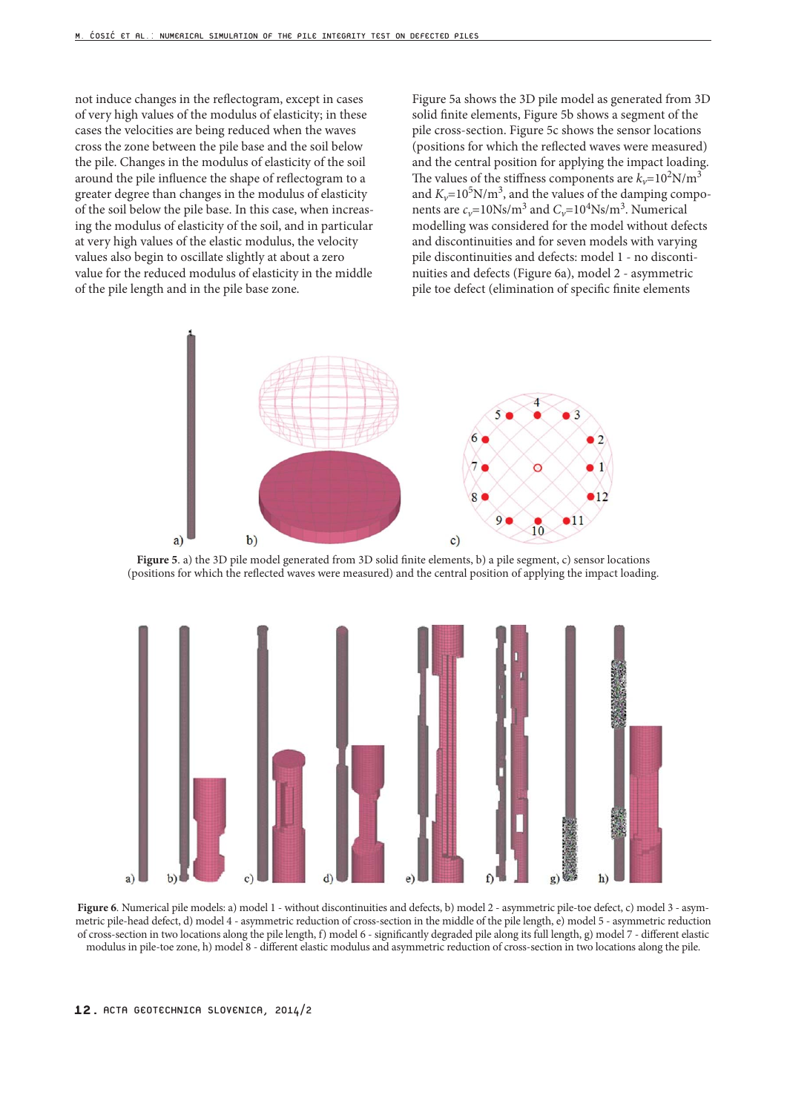not induce changes in the reflectogram, except in cases of very high values of the modulus of elasticity; in these cases the velocities are being reduced when the waves cross the zone between the pile base and the soil below the pile. Changes in the modulus of elasticity of the soil around the pile influence the shape of reflectogram to a greater degree than changes in the modulus of elasticity of the soil below the pile base. In this case, when increasing the modulus of elasticity of the soil, and in particular at very high values of the elastic modulus, the velocity values also begin to oscillate slightly at about a zero value for the reduced modulus of elasticity in the middle of the pile length and in the pile base zone.

Figure 5a shows the 3D pile model as generated from 3D solid finite elements, Figure 5b shows a segment of the pile cross-section. Figure 5c shows the sensor locations (positions for which the reflected waves were measured) and the central position for applying the impact loading. The values of the stiffness components are  $k_v$ =10<sup>2</sup>N/m<sup>3</sup> and  $K_v$ =10<sup>5</sup>N/m<sup>3</sup>, and the values of the damping components are  $c_v$ =10Ns/m<sup>3</sup> and  $C_v$ =10<sup>4</sup>Ns/m<sup>3</sup>. Numerical modelling was considered for the model without defects and discontinuities and for seven models with varying pile discontinuities and defects: model 1 - no discontinuities and defects (Figure 6a), model 2 - asymmetric pile toe defect (elimination of specific finite elements



**Figure 5**. a) the 3D pile model generated from 3D solid finite elements, b) a pile segment, c) sensor locations (positions for which the reflected waves were measured) and the central position of applying the impact loading.



Figure 6. Numerical pile models: a) model 1 - without discontinuities and defects, b) model 2 - asymmetric pile-toe defect, c) model 3 - asymmetric pile-head defect, d) model 4 - asymmetric reduction of cross-section in the middle of the pile length, e) model 5 - asymmetric reduction of cross-section in two locations along the pile length, f) model 6 - significantly degraded pile along its full length, g) model 7 - different elastic modulus in pile-toe zone, h) model 8 - different elastic modulus and asymmetric reduction of cross-section in two locations along the pile.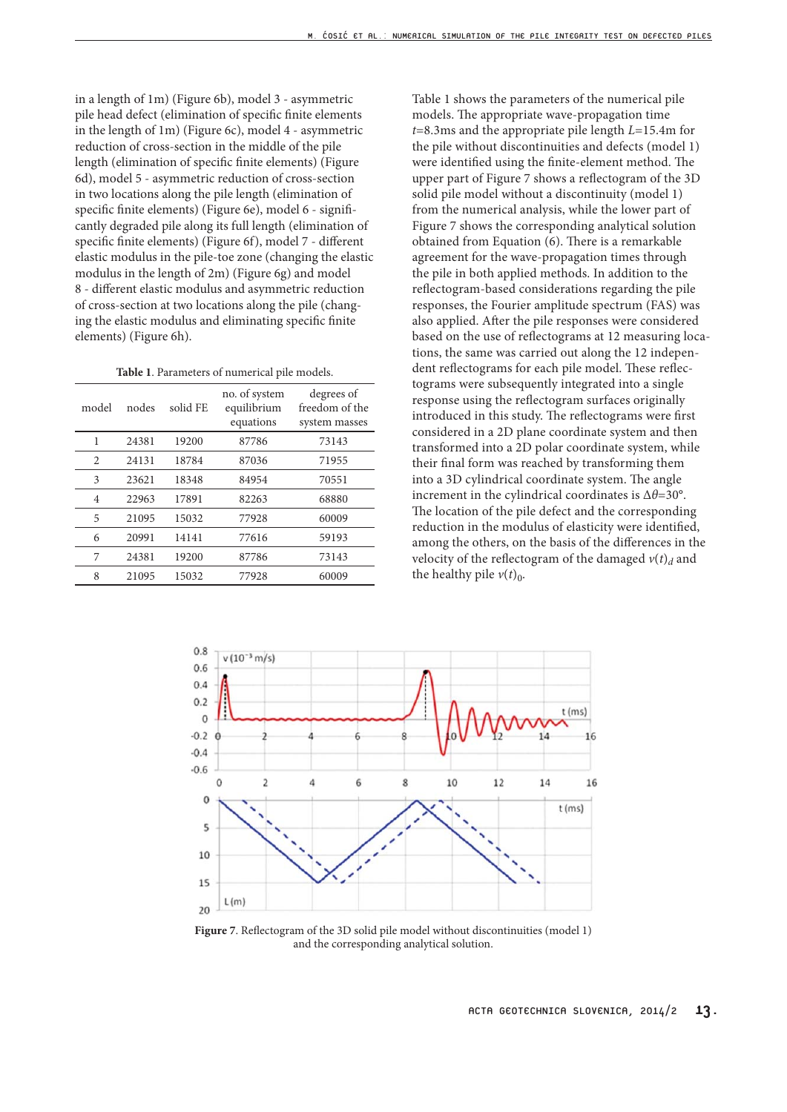in a length of 1m) (Figure 6b), model 3 - asymmetric pile head defect (elimination of specific finite elements in the length of 1m) (Figure 6c), model 4 - asymmetric reduction of cross-section in the middle of the pile length (elimination of specific finite elements) (Figure 6d), model 5 - asymmetric reduction of cross-section in two locations along the pile length (elimination of specific finite elements) (Figure 6e), model 6 - significantly degraded pile along its full length (elimination of specific finite elements) (Figure 6f), model 7 - different elastic modulus in the pile-toe zone (changing the elastic modulus in the length of 2m) (Figure 6g) and model 8 - different elastic modulus and asymmetric reduction of cross-section at two locations along the pile (changing the elastic modulus and eliminating specific finite elements) (Figure 6h).

**Table 1**. Parameters of numerical pile models.

| model          | nodes | solid FE | no. of system<br>equilibrium<br>equations | degrees of<br>freedom of the<br>system masses |
|----------------|-------|----------|-------------------------------------------|-----------------------------------------------|
| 1              | 24381 | 19200    | 87786                                     | 73143                                         |
| 2              | 24131 | 18784    | 87036                                     | 71955                                         |
| 3              | 23621 | 18348    | 84954                                     | 70551                                         |
| $\overline{4}$ | 22963 | 17891    | 82263                                     | 68880                                         |
| 5              | 21095 | 15032    | 77928                                     | 60009                                         |
| 6              | 20991 | 14141    | 77616                                     | 59193                                         |
| 7              | 24381 | 19200    | 87786                                     | 73143                                         |
| 8              | 21095 | 15032    | 77928                                     | 60009                                         |

Table 1 shows the parameters of the numerical pile models. The appropriate wave-propagation time *t*=8.3ms and the appropriate pile length *L*=15.4m for the pile without discontinuities and defects (model 1) were identified using the finite-element method. The upper part of Figure 7 shows a reflectogram of the 3D solid pile model without a discontinuity (model 1) from the numerical analysis, while the lower part of Figure 7 shows the corresponding analytical solution obtained from Equation (6). There is a remarkable agreement for the wave-propagation times through the pile in both applied methods. In addition to the reflectogram-based considerations regarding the pile responses, the Fourier amplitude spectrum (FAS) was also applied. After the pile responses were considered based on the use of reflectograms at 12 measuring locations, the same was carried out along the 12 independent reflectograms for each pile model. These reflectograms were subsequently integrated into a single response using the reflectogram surfaces originally introduced in this study. The reflectograms were first considered in a 2D plane coordinate system and then transformed into a 2D polar coordinate system, while their final form was reached by transforming them into a 3D cylindrical coordinate system. The angle increment in the cylindrical coordinates is Δ*θ*=30°. The location of the pile defect and the corresponding reduction in the modulus of elasticity were identified, among the others, on the basis of the differences in the velocity of the reflectogram of the damaged  $v(t)$ <sup>d</sup> and the healthy pile  $v(t)$ <sub>0</sub>.



**Figure 7**. Reflectogram of the 3D solid pile model without discontinuities (model 1) and the corresponding analytical solution.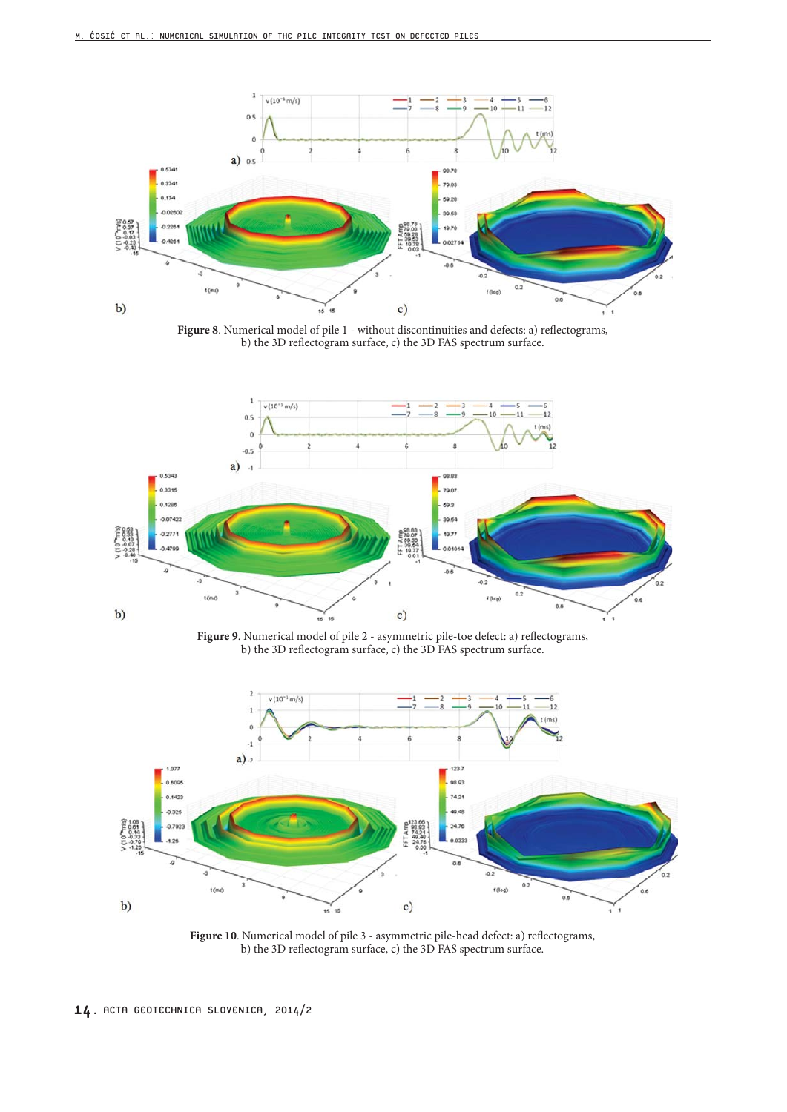

Figure 8. Numerical model of pile 1 - without discontinuities and defects: a) reflectograms, b) the 3D reflectogram surface, c) the 3D FAS spectrum surface.



**Figure 9**. Numerical model of pile 2 - asymmetric pile-toe defect: a) reflectograms, b) the 3D reflectogram surface, c) the 3D FAS spectrum surface.



Figure 10. Numerical model of pile 3 - asymmetric pile-head defect: a) reflectograms, b) the 3D reflectogram surface, c) the 3D FAS spectrum surface.

14. ACTA GEOTECHNICA SLOVENICA, 2014/2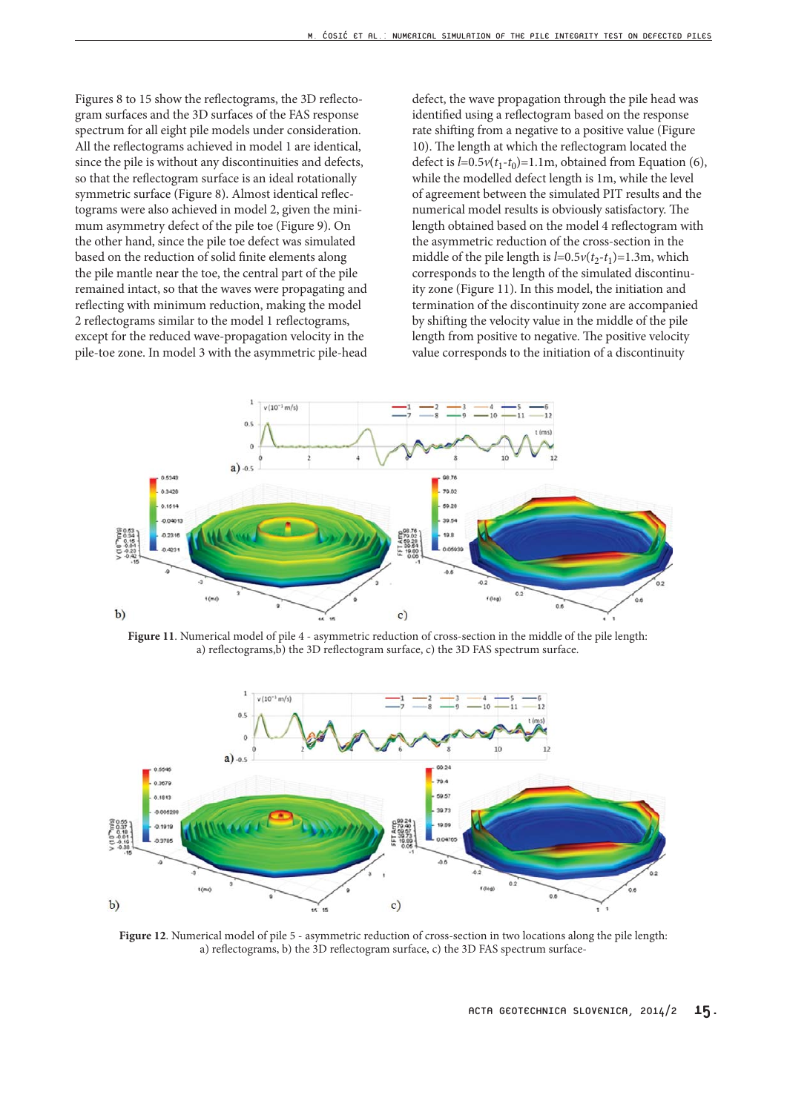Figures 8 to 15 show the reflectograms, the 3D reflectogram surfaces and the 3D surfaces of the FAS response spectrum for all eight pile models under consideration. All the reflectograms achieved in model 1 are identical, since the pile is without any discontinuities and defects, so that the reflectogram surface is an ideal rotationally symmetric surface (Figure 8). Almost identical reflectograms were also achieved in model 2, given the minimum asymmetry defect of the pile toe (Figure 9). On the other hand, since the pile toe defect was simulated based on the reduction of solid finite elements along the pile mantle near the toe, the central part of the pile remained intact, so that the waves were propagating and reflecting with minimum reduction, making the model 2 reflectograms similar to the model 1 reflectograms, except for the reduced wave-propagation velocity in the pile-toe zone. In model 3 with the asymmetric pile-head

defect, the wave propagation through the pile head was identified using a reflectogram based on the response rate shifting from a negative to a positive value (Figure 10). The length at which the reflectogram located the defect is  $l=0.5v(t_1-t_0)=1.1m$ , obtained from Equation (6), while the modelled defect length is 1m, while the level of agreement between the simulated PIT results and the numerical model results is obviously satisfactory. The length obtained based on the model 4 reflectogram with the asymmetric reduction of the cross-section in the middle of the pile length is  $l=0.5v(t_2-t_1)=1.3m$ , which corresponds to the length of the simulated discontinuity zone (Figure 11). In this model, the initiation and termination of the discontinuity zone are accompanied by shifting the velocity value in the middle of the pile length from positive to negative. The positive velocity value corresponds to the initiation of a discontinuity



**Figure 11**. Numerical model of pile 4 - asymmetric reduction of cross-section in the middle of the pile length: a) reflectograms,b) the 3D reflectogram surface, c) the 3D FAS spectrum surface.



**Figure 12**. Numerical model of pile 5 - asymmetric reduction of cross-section in two locations along the pile length: a) reflectograms, b) the 3D reflectogram surface, c) the 3D FAS spectrum surface-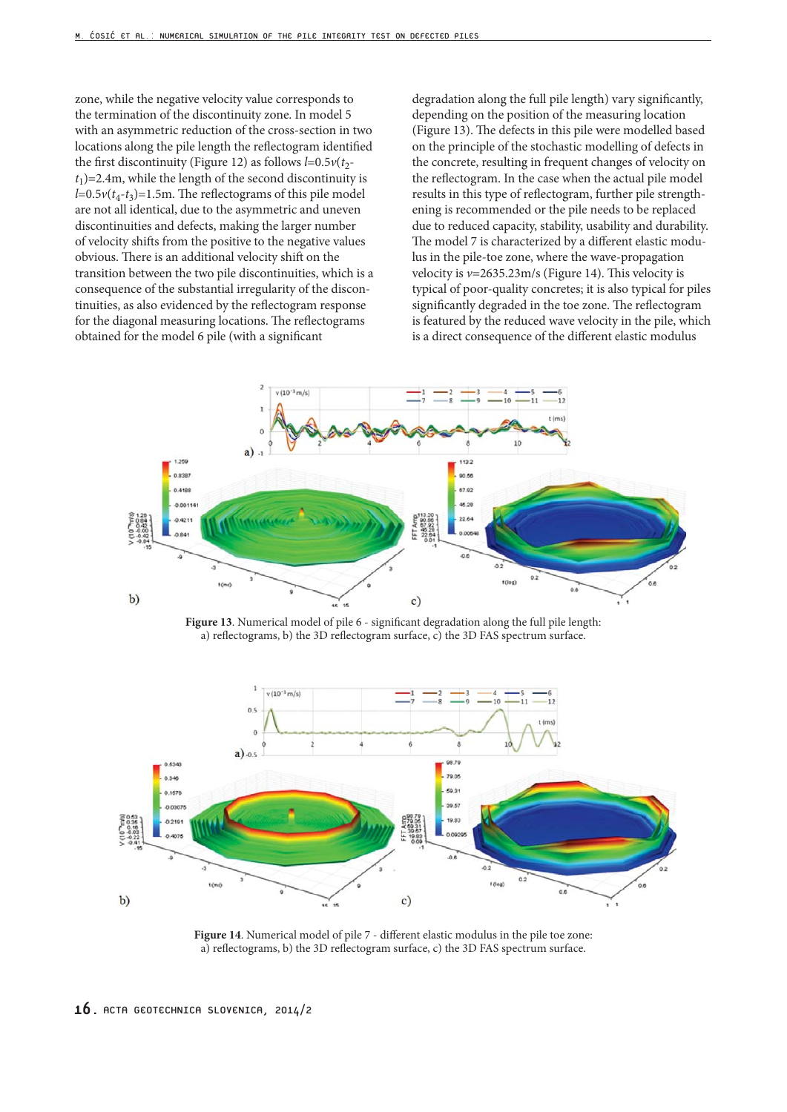zone, while the negative velocity value corresponds to the termination of the discontinuity zone. In model 5 with an asymmetric reduction of the cross-section in two locations along the pile length the reflectogram identified the first discontinuity (Figure 12) as follows  $l=0.5v(t_2$  $t_1$ )=2.4m, while the length of the second discontinuity is  $l=0.5v(t_4-t_3)=1.5m$ . The reflectograms of this pile model are not all identical, due to the asymmetric and uneven discontinuities and defects, making the larger number of velocity shifts from the positive to the negative values obvious. There is an additional velocity shift on the transition between the two pile discontinuities, which is a consequence of the substantial irregularity of the discontinuities, as also evidenced by the reflectogram response for the diagonal measuring locations. The reflectograms obtained for the model 6 pile (with a significant

degradation along the full pile length) vary significantly, depending on the position of the measuring location (Figure 13). The defects in this pile were modelled based on the principle of the stochastic modelling of defects in the concrete, resulting in frequent changes of velocity on the reflectogram. In the case when the actual pile model results in this type of reflectogram, further pile strengthening is recommended or the pile needs to be replaced due to reduced capacity, stability, usability and durability. The model 7 is characterized by a different elastic modulus in the pile-toe zone, where the wave-propagation velocity is *v*=2635.23m/s (Figure 14). This velocity is typical of poor-quality concretes; it is also typical for piles significantly degraded in the toe zone. The reflectogram is featured by the reduced wave velocity in the pile, which is a direct consequence of the different elastic modulus



**Figure 13**. Numerical model of pile 6 - significant degradation along the full pile length: a) reflectograms, b) the 3D reflectogram surface, c) the 3D FAS spectrum surface.



**Figure 14**. Numerical model of pile 7 - different elastic modulus in the pile toe zone: a) reflectograms, b) the 3D reflectogram surface, c) the 3D FAS spectrum surface.

<sup>16.</sup> ACTA GEOTECHNICA SLOVENICA, 2014/2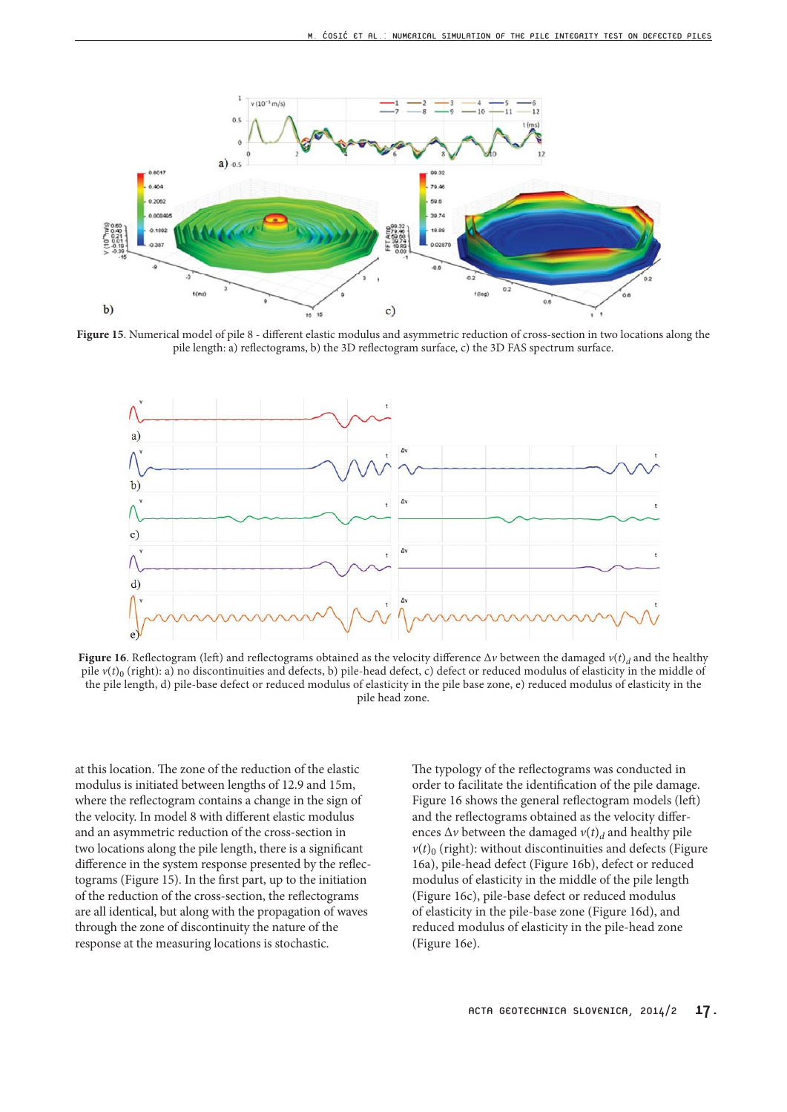

**Figure 15**. Numerical model of pile 8 - different elastic modulus and asymmetric reduction of cross-section in two locations along the pile length: a) reflectograms, b) the 3D reflectogram surface, c) the 3D FAS spectrum surface.



**Figure 16**. Reflectogram (left) and reflectograms obtained as the velocity difference  $\Delta v$  between the damaged  $v(t)$  and the healthy pile  $v(t)_0$  (right): a) no discontinuities and defects, b) pile-head defect, c) defect or reduced modulus of elasticity in the middle of the pile length, d) pile-base defect or reduced modulus of elasticity in the pile base zone, e) reduced modulus of elasticity in the pile head zone.

at this location. The zone of the reduction of the elastic modulus is initiated between lengths of 12.9 and 15m, where the reflectogram contains a change in the sign of the velocity. In model 8 with different elastic modulus and an asymmetric reduction of the cross-section in two locations along the pile length, there is a significant difference in the system response presented by the reflectograms (Figure 15). In the first part, up to the initiation of the reduction of the cross-section, the reflectograms are all identical, but along with the propagation of waves through the zone of discontinuity the nature of the response at the measuring locations is stochastic.

The typology of the reflectograms was conducted in order to facilitate the identification of the pile damage. Figure 16 shows the general reflectogram models (left) and the reflectograms obtained as the velocity differences  $\Delta v$  between the damaged  $v(t)$ <sup>d</sup> and healthy pile  $v(t)$ <sup>0</sup> (right): without discontinuities and defects (Figure 16a), pile-head defect (Figure 16b), defect or reduced modulus of elasticity in the middle of the pile length (Figure 16c), pile-base defect or reduced modulus of elasticity in the pile-base zone (Figure 16d), and reduced modulus of elasticity in the pile-head zone (Figure 16e).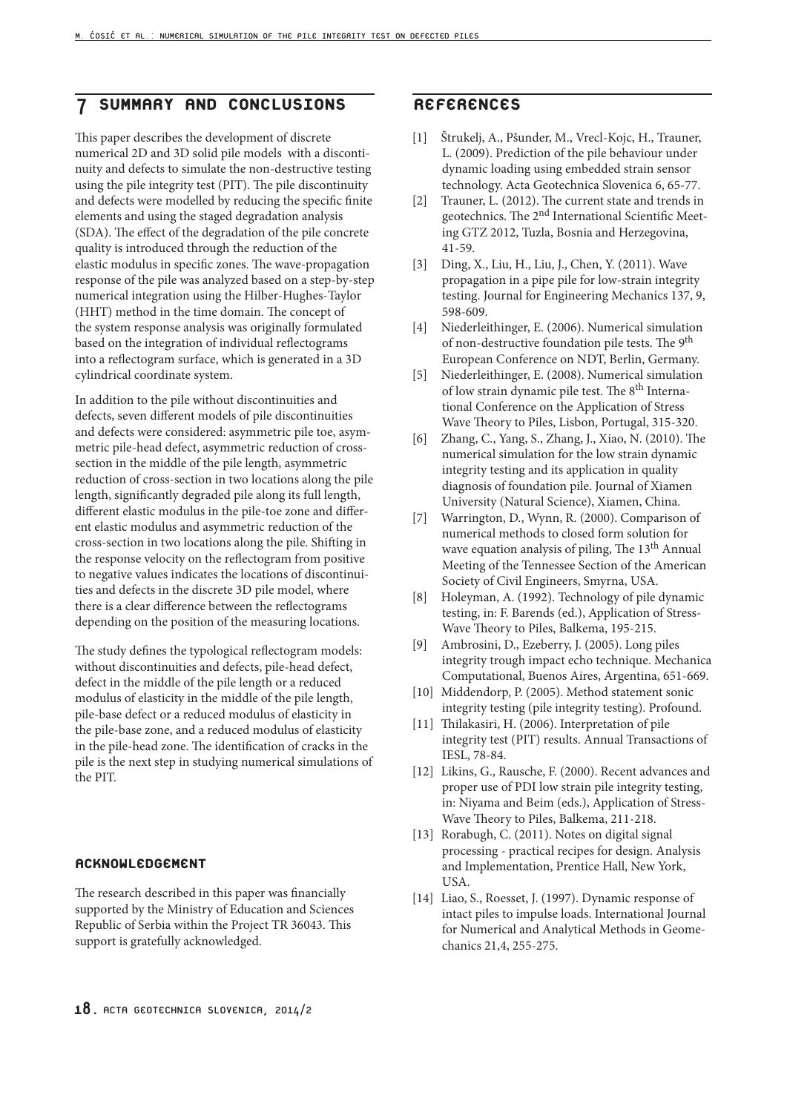# 7 SUMMARY AND CONCLUSIONS

This paper describes the development of discrete numerical 2D and 3D solid pile models with a discontinuity and defects to simulate the non-destructive testing using the pile integrity test (PIT). The pile discontinuity and defects were modelled by reducing the specific finite elements and using the staged degradation analysis (SDA). The effect of the degradation of the pile concrete quality is introduced through the reduction of the elastic modulus in specific zones. The wave-propagation response of the pile was analyzed based on a step-by-step numerical integration using the Hilber-Hughes-Taylor (HHT) method in the time domain. The concept of the system response analysis was originally formulated based on the integration of individual reflectograms into a reflectogram surface, which is generated in a 3D cylindrical coordinate system.

In addition to the pile without discontinuities and defects, seven different models of pile discontinuities and defects were considered: asymmetric pile toe, asymmetric pile-head defect, asymmetric reduction of crosssection in the middle of the pile length, asymmetric reduction of cross-section in two locations along the pile length, significantly degraded pile along its full length, different elastic modulus in the pile-toe zone and different elastic modulus and asymmetric reduction of the cross-section in two locations along the pile. Shifting in the response velocity on the reflectogram from positive to negative values indicates the locations of discontinuities and defects in the discrete 3D pile model, where there is a clear difference between the reflectograms depending on the position of the measuring locations.

The study defines the typological reflectogram models: without discontinuities and defects, pile-head defect, defect in the middle of the pile length or a reduced modulus of elasticity in the middle of the pile length, pile-base defect or a reduced modulus of elasticity in the pile-base zone, and a reduced modulus of elasticity in the pile-head zone. The identification of cracks in the pile is the next step in studying numerical simulations of the PIT.

#### ACKNOWLEDGEMENT

The research described in this paper was financially supported by the Ministry of Education and Sciences Republic of Serbia within the Project TR 36043. This support is gratefully acknowledged.

#### REFERENCES

- [1] Štrukelj, A., Pšunder, M., Vrecl-Kojc, H., Trauner, L. (2009). Prediction of the pile behaviour under dynamic loading using embedded strain sensor technology. Acta Geotechnica Slovenica 6, 65-77.
- [2] Trauner, L. (2012). The current state and trends in geotechnics. The 2<sup>nd</sup> International Scientific Meeting GTZ 2012, Tuzla, Bosnia and Herzegovina, 41-59.
- [3] Ding, X., Liu, H., Liu, J., Chen, Y. (2011). Wave propagation in a pipe pile for low-strain integrity testing. Journal for Engineering Mechanics 137, 9, 598-609.
- [4] Niederleithinger, E. (2006). Numerical simulation of non-destructive foundation pile tests. The 9<sup>th</sup> European Conference on NDT, Berlin, Germany.
- [5] Niederleithinger, E. (2008). Numerical simulation of low strain dynamic pile test. The 8<sup>th</sup> International Conference on the Application of Stress Wave Theory to Piles, Lisbon, Portugal, 315-320.
- [6] Zhang, C., Yang, S., Zhang, J., Xiao, N. (2010). The numerical simulation for the low strain dynamic integrity testing and its application in quality diagnosis of foundation pile. Journal of Xiamen University (Natural Science), Xiamen, China.
- [7] Warrington, D., Wynn, R. (2000). Comparison of numerical methods to closed form solution for wave equation analysis of piling, The 13<sup>th</sup> Annual Meeting of the Tennessee Section of the American Society of Civil Engineers, Smyrna, USA.
- [8] Holeyman, A. (1992). Technology of pile dynamic testing, in: F. Barends (ed.), Application of Stress-Wave Theory to Piles, Balkema, 195-215.
- [9] Ambrosini, D., Ezeberry, J. (2005). Long piles integrity trough impact echo technique. Mechanica Computational, Buenos Aires, Argentina, 651-669.
- [10] Middendorp, P. (2005). Method statement sonic integrity testing (pile integrity testing). Profound.
- [11] Thilakasiri, H. (2006). Interpretation of pile integrity test (PIT) results. Annual Transactions of IESL, 78-84.
- [12] Likins, G., Rausche, F. (2000). Recent advances and proper use of PDI low strain pile integrity testing, in: Niyama and Beim (eds.), Application of Stress-Wave Theory to Piles, Balkema, 211-218.
- [13] Rorabugh, C. (2011). Notes on digital signal processing - practical recipes for design. Analysis and Implementation, Prentice Hall, New York, USA.
- [14] Liao, S., Roesset, J. (1997). Dynamic response of intact piles to impulse loads. International Journal for Numerical and Analytical Methods in Geomechanics 21,4, 255-275.